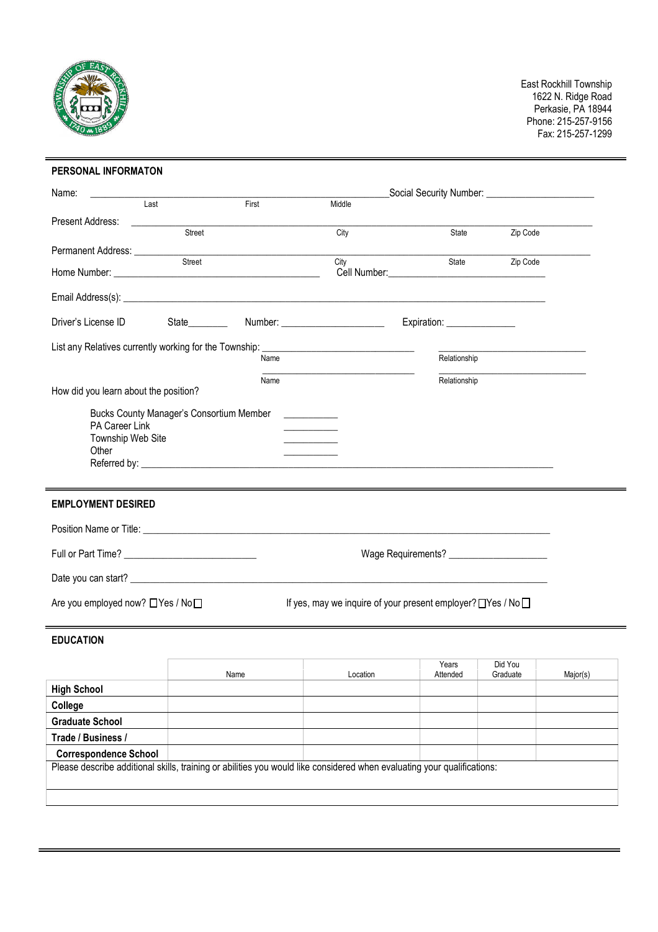

## **PERSONAL INFORMATON**

| Name:                                 |                                          |       |                                                                                   | Social Security Number: _________________________                                                                      |                                                                                                                       |  |
|---------------------------------------|------------------------------------------|-------|-----------------------------------------------------------------------------------|------------------------------------------------------------------------------------------------------------------------|-----------------------------------------------------------------------------------------------------------------------|--|
|                                       | Last                                     | First | Middle                                                                            |                                                                                                                        |                                                                                                                       |  |
| Present Address: ___________          | Street                                   |       | City                                                                              | State                                                                                                                  | Zip Code                                                                                                              |  |
|                                       |                                          |       |                                                                                   |                                                                                                                        |                                                                                                                       |  |
| Permanent Address: Street             |                                          |       | City                                                                              | State                                                                                                                  | Zip Code                                                                                                              |  |
|                                       |                                          |       |                                                                                   |                                                                                                                        |                                                                                                                       |  |
|                                       |                                          |       |                                                                                   |                                                                                                                        |                                                                                                                       |  |
| Driver's License ID                   | State________                            |       | Number: _________________________                                                 | Expiration: ________________                                                                                           |                                                                                                                       |  |
|                                       |                                          |       | List any Relatives currently working for the Township: __________________________ | <u> La componenta de la componenta de la componenta de la componenta de la componenta de la componenta de la compo</u> |                                                                                                                       |  |
|                                       |                                          | Name  |                                                                                   | Relationship                                                                                                           |                                                                                                                       |  |
|                                       |                                          | Name  |                                                                                   | Relationship                                                                                                           | <u> 1980 - Jan James James James James James James James James James James James James James James James James Ja</u> |  |
| How did you learn about the position? |                                          |       |                                                                                   |                                                                                                                        |                                                                                                                       |  |
|                                       | Bucks County Manager's Consortium Member |       |                                                                                   |                                                                                                                        |                                                                                                                       |  |
| PA Career Link<br>Township Web Site   |                                          |       |                                                                                   |                                                                                                                        |                                                                                                                       |  |
| Other                                 |                                          |       |                                                                                   |                                                                                                                        |                                                                                                                       |  |
|                                       |                                          |       |                                                                                   |                                                                                                                        |                                                                                                                       |  |
|                                       |                                          |       |                                                                                   |                                                                                                                        |                                                                                                                       |  |
| <b>EMPLOYMENT DESIRED</b>             |                                          |       |                                                                                   |                                                                                                                        |                                                                                                                       |  |
|                                       |                                          |       |                                                                                   |                                                                                                                        |                                                                                                                       |  |
|                                       |                                          |       | Wage Requirements? ______________________                                         |                                                                                                                        |                                                                                                                       |  |
|                                       |                                          |       |                                                                                   |                                                                                                                        |                                                                                                                       |  |
| Are you employed now? □ Yes / No□     |                                          |       | If yes, may we inquire of your present employer? □ Yes / No □                     |                                                                                                                        |                                                                                                                       |  |

## **EDUCATION**

|                                                                                                                         | Name | Location | Years<br>Attended | Did You<br>Graduate | Major(s) |  |
|-------------------------------------------------------------------------------------------------------------------------|------|----------|-------------------|---------------------|----------|--|
| <b>High School</b>                                                                                                      |      |          |                   |                     |          |  |
| College                                                                                                                 |      |          |                   |                     |          |  |
| <b>Graduate School</b>                                                                                                  |      |          |                   |                     |          |  |
| Trade / Business /                                                                                                      |      |          |                   |                     |          |  |
| <b>Correspondence School</b>                                                                                            |      |          |                   |                     |          |  |
| Please describe additional skills, training or abilities you would like considered when evaluating your qualifications: |      |          |                   |                     |          |  |
|                                                                                                                         |      |          |                   |                     |          |  |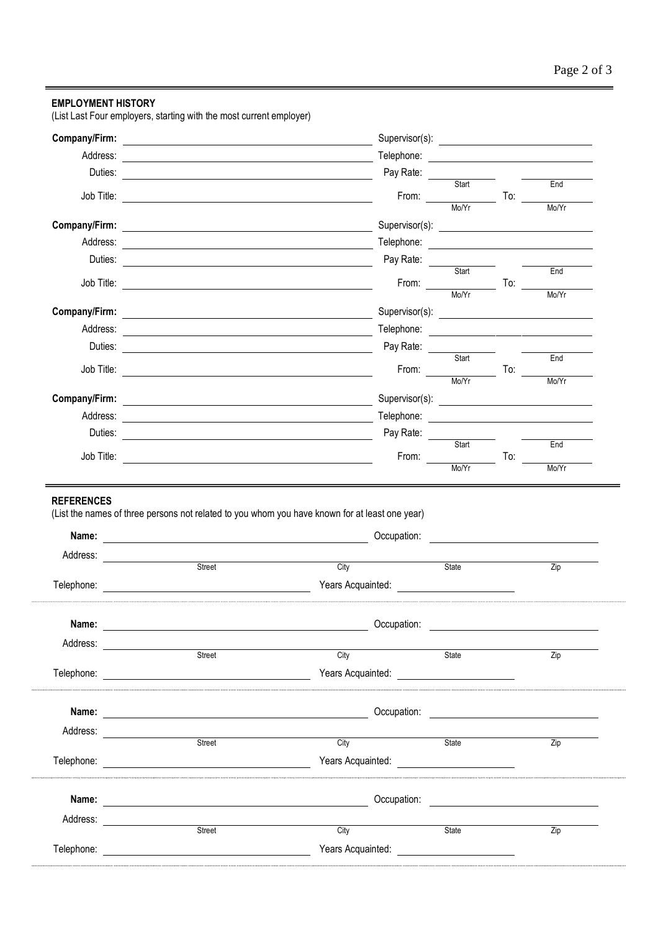**EMPLOYMENT HISTORY**

(List Last Four employers, starting with the most current employer)

| Address:<br><u> 1989 - Johann Stoff, amerikansk politiker (d. 1989)</u>                                                                                                                                                              |                                                   |  |
|--------------------------------------------------------------------------------------------------------------------------------------------------------------------------------------------------------------------------------------|---------------------------------------------------|--|
| Duties:<br><u> 1989 - Johann Barnett, fransk politiker (d. 1989)</u>                                                                                                                                                                 | Pay Rate:                                         |  |
|                                                                                                                                                                                                                                      | Start<br>End<br>From:<br>To:<br>$M_0/Yr$<br>Mo/Yr |  |
|                                                                                                                                                                                                                                      |                                                   |  |
|                                                                                                                                                                                                                                      | Supervisor(s):                                    |  |
|                                                                                                                                                                                                                                      |                                                   |  |
| Duties:<br><u> 1989 - Johann Barn, mars ann an t-Amhain Aonaichte ann an t-Aonaichte ann an t-Aonaichte ann an t-Aonaichte a</u>                                                                                                     | Pay Rate:<br>Start<br>End                         |  |
|                                                                                                                                                                                                                                      | From:<br>To:<br>Mo/Yr                             |  |
|                                                                                                                                                                                                                                      | Mo/Yr                                             |  |
|                                                                                                                                                                                                                                      | Supervisor(s):                                    |  |
| Address: <u>example and a series of the series of the series of the series of the series of the series of the series of the series of the series of the series of the series of the series of the series of the series of the se</u> |                                                   |  |
|                                                                                                                                                                                                                                      | Pay Rate: Start                                   |  |
|                                                                                                                                                                                                                                      | End<br>From:<br>To:                               |  |
|                                                                                                                                                                                                                                      | Mo/Yr<br>Mo/Yr                                    |  |
| Company/Firm: <u>company of the company of the company of the company of the company of the company of the company of the company of the company of the company of the company of the company of the company of the company of t</u> |                                                   |  |
|                                                                                                                                                                                                                                      |                                                   |  |
| Duties:                                                                                                                                                                                                                              | Pay Rate: ____                                    |  |
|                                                                                                                                                                                                                                      | Start<br>End                                      |  |
|                                                                                                                                                                                                                                      | To:<br>From:                                      |  |
|                                                                                                                                                                                                                                      | Mo/Yr<br>Mo/Yr                                    |  |

|            | <b>Street</b>     | City              | State | Zip |
|------------|-------------------|-------------------|-------|-----|
| Telephone: | Years Acquainted: |                   |       |     |
| Name:      |                   | Occupation:       |       |     |
| Address:   |                   |                   |       |     |
|            | Street            | City              | State | Zip |
| Telephone: | Years Acquainted: |                   |       |     |
| Name:      | Occupation:       |                   |       |     |
| Address:   |                   |                   |       |     |
|            | Street            | City              | State | Zip |
| Telephone: |                   | Years Acquainted: |       |     |
| Name:      | Occupation:       |                   |       |     |
| Address:   |                   |                   |       |     |
|            | <b>Street</b>     | City              | State | Zip |
| Telephone: |                   | Years Acquainted: |       |     |